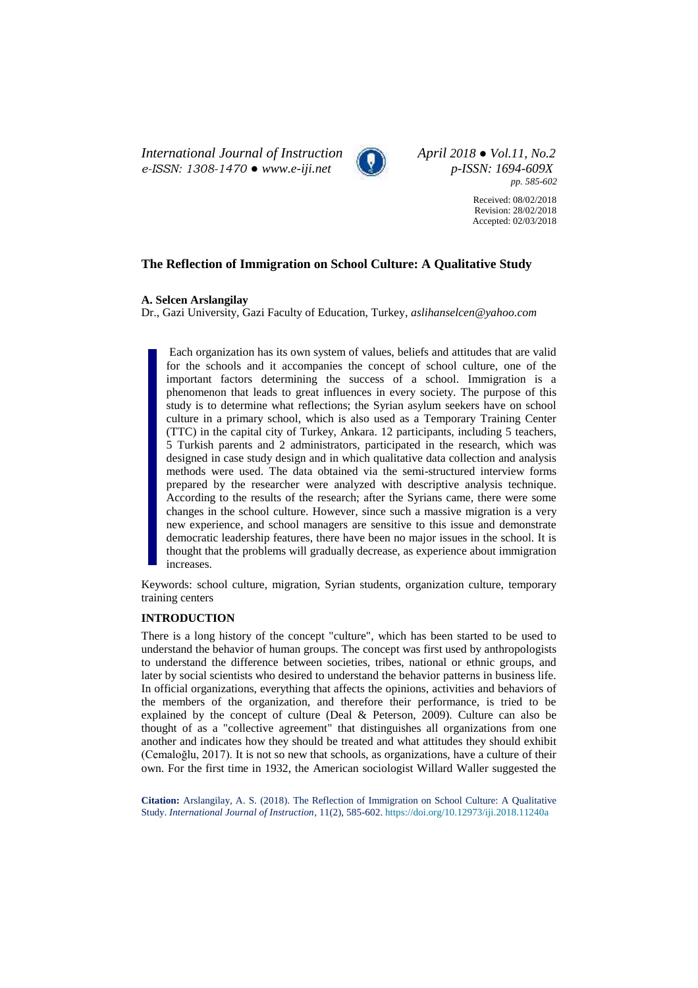*International Journal of Instruction April 2018 ● Vol.11, No.2 e-ISSN: 1308-1470 ● [www.e-iji.net](http://www.e-iji.net/) p-ISSN: 1694-609X*



*pp. 585-602*

Received: 08/02/2018 Revision: 28/02/2018 Accepted: 02/03/2018

## **The Reflection of Immigration on School Culture: A Qualitative Study**

**A. Selcen Arslangilay**

Dr., Gazi University, Gazi Faculty of Education, Turkey, *aslihanselcen@yahoo.com*

Each organization has its own system of values, beliefs and attitudes that are valid for the schools and it accompanies the concept of school culture, one of the important factors determining the success of a school. Immigration is a phenomenon that leads to great influences in every society. The purpose of this study is to determine what reflections; the Syrian asylum seekers have on school culture in a primary school, which is also used as a Temporary Training Center (TTC) in the capital city of Turkey, Ankara. 12 participants, including 5 teachers, 5 Turkish parents and 2 administrators, participated in the research, which was designed in case study design and in which qualitative data collection and analysis methods were used. The data obtained via the semi-structured interview forms prepared by the researcher were analyzed with descriptive analysis technique. According to the results of the research; after the Syrians came, there were some changes in the school culture. However, since such a massive migration is a very new experience, and school managers are sensitive to this issue and demonstrate democratic leadership features, there have been no major issues in the school. It is thought that the problems will gradually decrease, as experience about immigration increases.

Keywords: school culture, migration, Syrian students, organization culture, temporary training centers

### **INTRODUCTION**

There is a long history of the concept "culture", which has been started to be used to understand the behavior of human groups. The concept was first used by anthropologists to understand the difference between societies, tribes, national or ethnic groups, and later by social scientists who desired to understand the behavior patterns in business life. In official organizations, everything that affects the opinions, activities and behaviors of the members of the organization, and therefore their performance, is tried to be explained by the concept of culture (Deal & Peterson, 2009). Culture can also be thought of as a "collective agreement" that distinguishes all organizations from one another and indicates how they should be treated and what attitudes they should exhibit (Cemaloğlu, 2017). It is not so new that schools, as organizations, have a culture of their own. For the first time in 1932, the American sociologist Willard Waller suggested the

**Citation:** Arslangilay, A. S. (2018). The Reflection of Immigration on School Culture: A Qualitative Study. *International Journal of Instruction*, 11(2), 585-602. <https://doi.org/10.12973/iji.2018.11240a>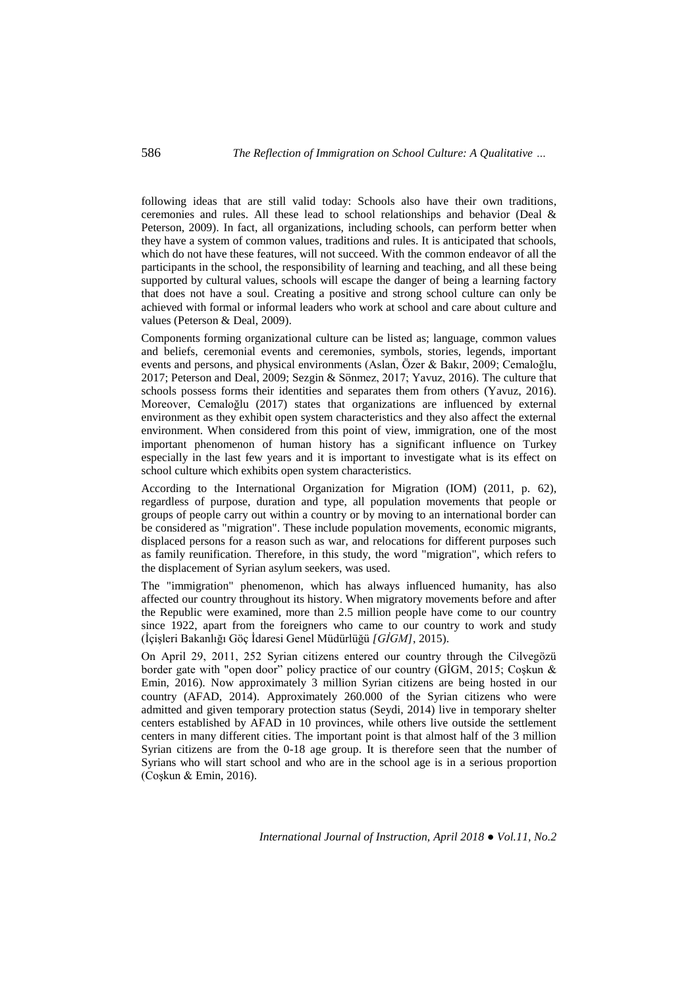following ideas that are still valid today: Schools also have their own traditions, ceremonies and rules. All these lead to school relationships and behavior (Deal & Peterson, 2009). In fact, all organizations, including schools, can perform better when they have a system of common values, traditions and rules. It is anticipated that schools, which do not have these features, will not succeed. With the common endeavor of all the participants in the school, the responsibility of learning and teaching, and all these being supported by cultural values, schools will escape the danger of being a learning factory that does not have a soul. Creating a positive and strong school culture can only be achieved with formal or informal leaders who work at school and care about culture and values (Peterson & Deal, 2009).

Components forming organizational culture can be listed as; language, common values and beliefs, ceremonial events and ceremonies, symbols, stories, legends, important events and persons, and physical environments (Aslan, Özer & Bakır, 2009; Cemaloğlu, 2017; Peterson and Deal, 2009; Sezgin & Sönmez, 2017; Yavuz, 2016). The culture that schools possess forms their identities and separates them from others (Yavuz, 2016). Moreover, Cemaloğlu (2017) states that organizations are influenced by external environment as they exhibit open system characteristics and they also affect the external environment. When considered from this point of view, immigration, one of the most important phenomenon of human history has a significant influence on Turkey especially in the last few years and it is important to investigate what is its effect on school culture which exhibits open system characteristics.

According to the International Organization for Migration (IOM) (2011, p. 62), regardless of purpose, duration and type, all population movements that people or groups of people carry out within a country or by moving to an international border can be considered as "migration". These include population movements, economic migrants, displaced persons for a reason such as war, and relocations for different purposes such as family reunification. Therefore, in this study, the word "migration", which refers to the displacement of Syrian asylum seekers, was used.

The "immigration" phenomenon, which has always influenced humanity, has also affected our country throughout its history. When migratory movements before and after the Republic were examined, more than 2.5 million people have come to our country since 1922, apart from the foreigners who came to our country to work and study (İçişleri Bakanlığı Göç İdaresi Genel Müdürlüğü *[GİGM]*, 2015).

On April 29, 2011, 252 Syrian citizens entered our country through the Cilvegözü border gate with "open door" policy practice of our country (GİGM, 2015; Coşkun & Emin, 2016). Now approximately 3 million Syrian citizens are being hosted in our country (AFAD, 2014). Approximately 260.000 of the Syrian citizens who were admitted and given temporary protection status (Seydi, 2014) live in temporary shelter centers established by AFAD in 10 provinces, while others live outside the settlement centers in many different cities. The important point is that almost half of the 3 million Syrian citizens are from the 0-18 age group. It is therefore seen that the number of Syrians who will start school and who are in the school age is in a serious proportion (Coşkun & Emin, 2016).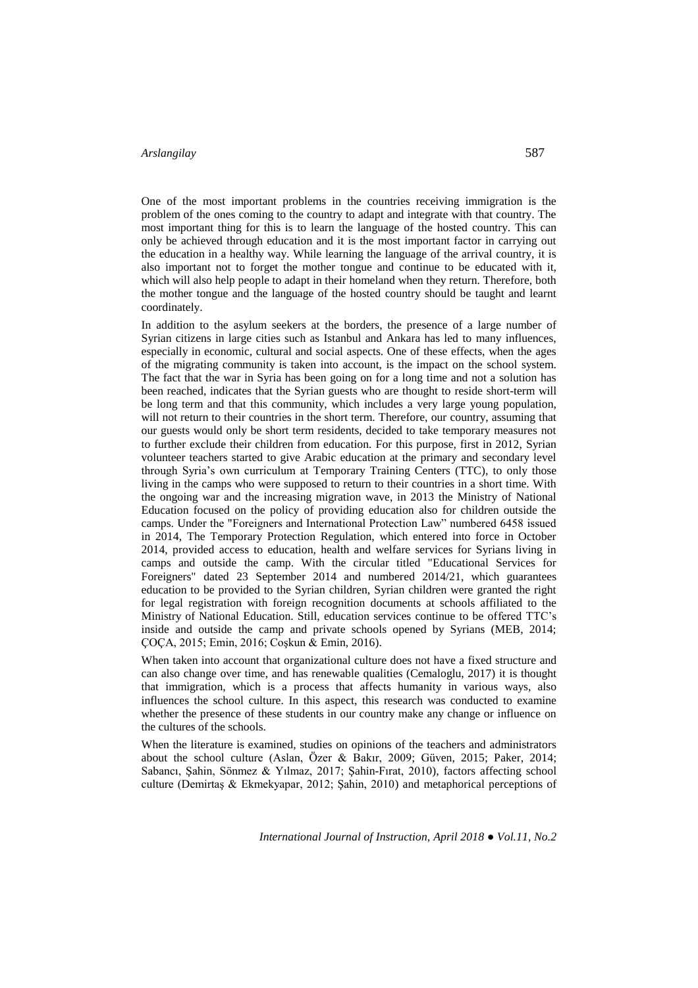One of the most important problems in the countries receiving immigration is the problem of the ones coming to the country to adapt and integrate with that country. The most important thing for this is to learn the language of the hosted country. This can only be achieved through education and it is the most important factor in carrying out the education in a healthy way. While learning the language of the arrival country, it is also important not to forget the mother tongue and continue to be educated with it, which will also help people to adapt in their homeland when they return. Therefore, both the mother tongue and the language of the hosted country should be taught and learnt coordinately.

In addition to the asylum seekers at the borders, the presence of a large number of Syrian citizens in large cities such as Istanbul and Ankara has led to many influences, especially in economic, cultural and social aspects. One of these effects, when the ages of the migrating community is taken into account, is the impact on the school system. The fact that the war in Syria has been going on for a long time and not a solution has been reached, indicates that the Syrian guests who are thought to reside short-term will be long term and that this community, which includes a very large young population, will not return to their countries in the short term. Therefore, our country, assuming that our guests would only be short term residents, decided to take temporary measures not to further exclude their children from education. For this purpose, first in 2012, Syrian volunteer teachers started to give Arabic education at the primary and secondary level through Syria's own curriculum at Temporary Training Centers (TTC), to only those living in the camps who were supposed to return to their countries in a short time. With the ongoing war and the increasing migration wave, in 2013 the Ministry of National Education focused on the policy of providing education also for children outside the camps. Under the "Foreigners and International Protection Law" numbered 6458 issued in 2014, The Temporary Protection Regulation, which entered into force in October 2014, provided access to education, health and welfare services for Syrians living in camps and outside the camp. With the circular titled "Educational Services for Foreigners" dated 23 September 2014 and numbered 2014/21, which guarantees education to be provided to the Syrian children, Syrian children were granted the right for legal registration with foreign recognition documents at schools affiliated to the Ministry of National Education. Still, education services continue to be offered TTC's inside and outside the camp and private schools opened by Syrians (MEB, 2014; ÇOÇA, 2015; Emin, 2016; Coşkun & Emin, 2016).

When taken into account that organizational culture does not have a fixed structure and can also change over time, and has renewable qualities (Cemaloglu, 2017) it is thought that immigration, which is a process that affects humanity in various ways, also influences the school culture. In this aspect, this research was conducted to examine whether the presence of these students in our country make any change or influence on the cultures of the schools.

When the literature is examined, studies on opinions of the teachers and administrators about the school culture (Aslan, Özer & Bakır, 2009; Güven, 2015; Paker, 2014; Sabancı, Şahin, Sönmez & Yılmaz, 2017; Şahin-Fırat, 2010), factors affecting school culture (Demirtaş & Ekmekyapar, 2012; Şahin, 2010) and metaphorical perceptions of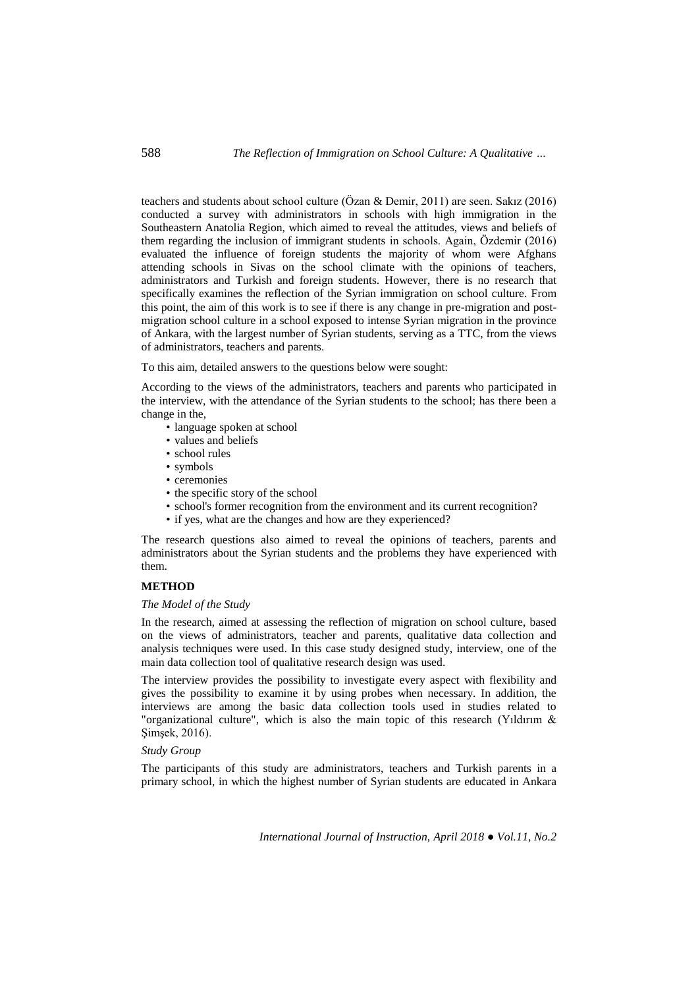teachers and students about school culture (Özan & Demir, 2011) are seen. Sakız (2016) conducted a survey with administrators in schools with high immigration in the Southeastern Anatolia Region, which aimed to reveal the attitudes, views and beliefs of them regarding the inclusion of immigrant students in schools. Again, Özdemir (2016) evaluated the influence of foreign students the majority of whom were Afghans attending schools in Sivas on the school climate with the opinions of teachers, administrators and Turkish and foreign students. However, there is no research that specifically examines the reflection of the Syrian immigration on school culture. From this point, the aim of this work is to see if there is any change in pre-migration and postmigration school culture in a school exposed to intense Syrian migration in the province of Ankara, with the largest number of Syrian students, serving as a TTC, from the views of administrators, teachers and parents.

To this aim, detailed answers to the questions below were sought:

According to the views of the administrators, teachers and parents who participated in the interview, with the attendance of the Syrian students to the school; has there been a change in the,

- language spoken at school
- values and beliefs
- school rules
- symbols
- ceremonies
- the specific story of the school
- school's former recognition from the environment and its current recognition?
- if yes, what are the changes and how are they experienced?

The research questions also aimed to reveal the opinions of teachers, parents and administrators about the Syrian students and the problems they have experienced with them.

## **METHOD**

#### *The Model of the Study*

In the research, aimed at assessing the reflection of migration on school culture, based on the views of administrators, teacher and parents, qualitative data collection and analysis techniques were used. In this case study designed study, interview, one of the main data collection tool of qualitative research design was used.

The interview provides the possibility to investigate every aspect with flexibility and gives the possibility to examine it by using probes when necessary. In addition, the interviews are among the basic data collection tools used in studies related to "organizational culture", which is also the main topic of this research (Yıldırım & Şimşek, 2016).

### *Study Group*

The participants of this study are administrators, teachers and Turkish parents in a primary school, in which the highest number of Syrian students are educated in Ankara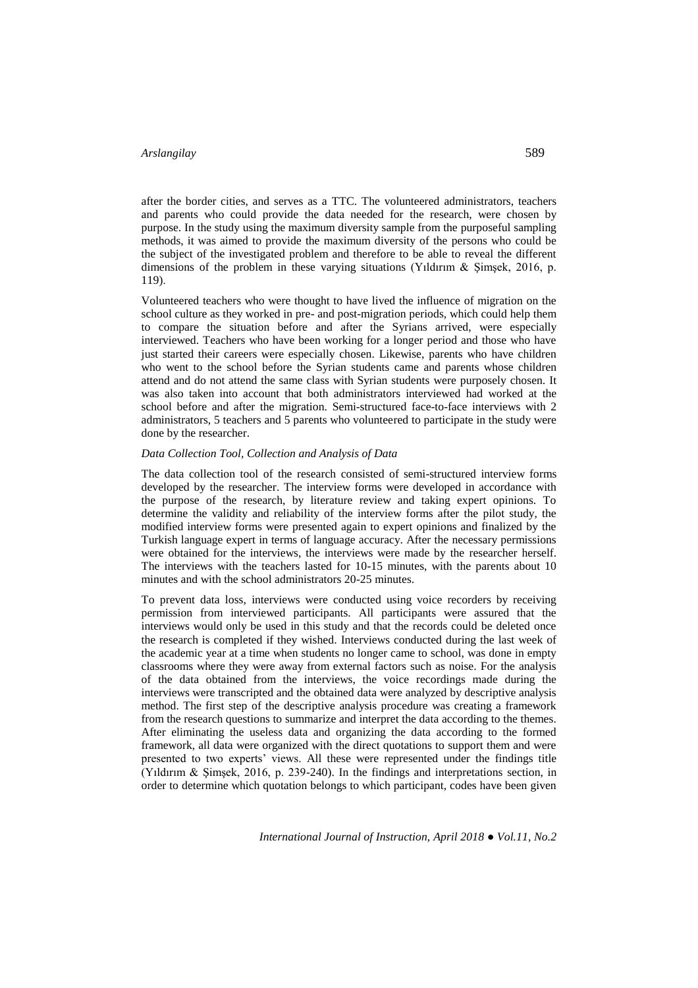after the border cities, and serves as a TTC. The volunteered administrators, teachers and parents who could provide the data needed for the research, were chosen by purpose. In the study using the maximum diversity sample from the purposeful sampling methods, it was aimed to provide the maximum diversity of the persons who could be the subject of the investigated problem and therefore to be able to reveal the different dimensions of the problem in these varying situations (Yildırım  $\&$  Simsek, 2016, p. 119).

Volunteered teachers who were thought to have lived the influence of migration on the school culture as they worked in pre- and post-migration periods, which could help them to compare the situation before and after the Syrians arrived, were especially interviewed. Teachers who have been working for a longer period and those who have just started their careers were especially chosen. Likewise, parents who have children who went to the school before the Syrian students came and parents whose children attend and do not attend the same class with Syrian students were purposely chosen. It was also taken into account that both administrators interviewed had worked at the school before and after the migration. Semi-structured face-to-face interviews with 2 administrators, 5 teachers and 5 parents who volunteered to participate in the study were done by the researcher.

#### *Data Collection Tool, Collection and Analysis of Data*

The data collection tool of the research consisted of semi-structured interview forms developed by the researcher. The interview forms were developed in accordance with the purpose of the research, by literature review and taking expert opinions. To determine the validity and reliability of the interview forms after the pilot study, the modified interview forms were presented again to expert opinions and finalized by the Turkish language expert in terms of language accuracy. After the necessary permissions were obtained for the interviews, the interviews were made by the researcher herself. The interviews with the teachers lasted for 10-15 minutes, with the parents about 10 minutes and with the school administrators 20-25 minutes.

To prevent data loss, interviews were conducted using voice recorders by receiving permission from interviewed participants. All participants were assured that the interviews would only be used in this study and that the records could be deleted once the research is completed if they wished. Interviews conducted during the last week of the academic year at a time when students no longer came to school, was done in empty classrooms where they were away from external factors such as noise. For the analysis of the data obtained from the interviews, the voice recordings made during the interviews were transcripted and the obtained data were analyzed by descriptive analysis method. The first step of the descriptive analysis procedure was creating a framework from the research questions to summarize and interpret the data according to the themes. After eliminating the useless data and organizing the data according to the formed framework, all data were organized with the direct quotations to support them and were presented to two experts' views. All these were represented under the findings title (Yıldırım & Şimşek, 2016, p. 239-240). In the findings and interpretations section, in order to determine which quotation belongs to which participant, codes have been given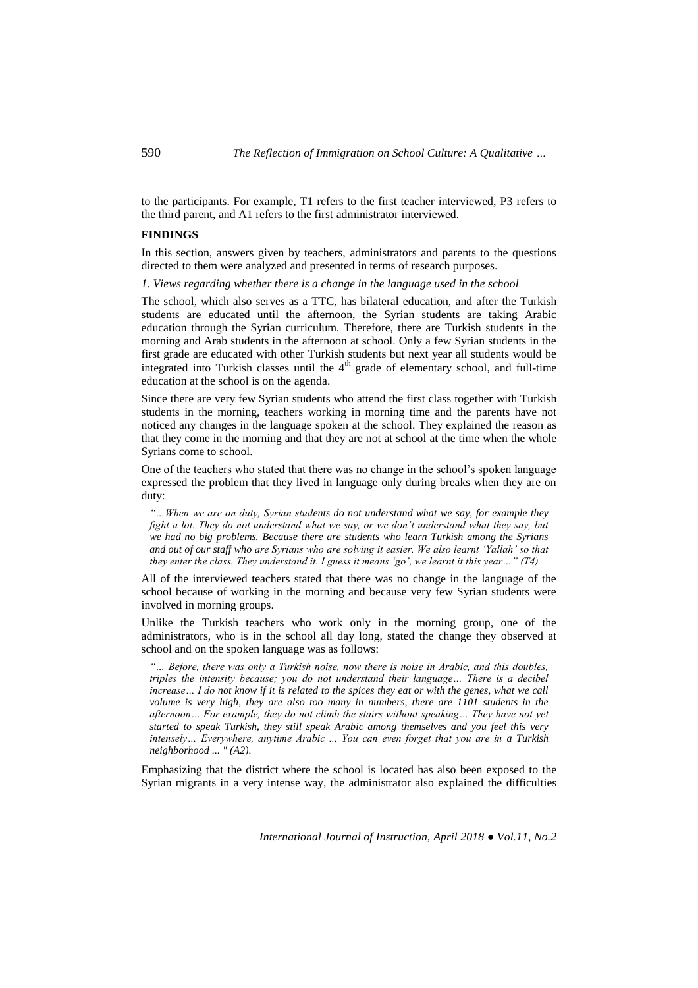to the participants. For example, T1 refers to the first teacher interviewed, P3 refers to the third parent, and A1 refers to the first administrator interviewed.

#### **FINDINGS**

In this section, answers given by teachers, administrators and parents to the questions directed to them were analyzed and presented in terms of research purposes.

*1. Views regarding whether there is a change in the language used in the school*

The school, which also serves as a TTC, has bilateral education, and after the Turkish students are educated until the afternoon, the Syrian students are taking Arabic education through the Syrian curriculum. Therefore, there are Turkish students in the morning and Arab students in the afternoon at school. Only a few Syrian students in the first grade are educated with other Turkish students but next year all students would be integrated into Turkish classes until the  $4<sup>th</sup>$  grade of elementary school, and full-time education at the school is on the agenda.

Since there are very few Syrian students who attend the first class together with Turkish students in the morning, teachers working in morning time and the parents have not noticed any changes in the language spoken at the school. They explained the reason as that they come in the morning and that they are not at school at the time when the whole Syrians come to school.

One of the teachers who stated that there was no change in the school's spoken language expressed the problem that they lived in language only during breaks when they are on duty:

*"…When we are on duty, Syrian students do not understand what we say, for example they fight a lot. They do not understand what we say, or we don't understand what they say, but we had no big problems. Because there are students who learn Turkish among the Syrians and out of our staff who are Syrians who are solving it easier. We also learnt 'Yallah' so that they enter the class. They understand it. I guess it means 'go', we learnt it this year…" (T4)*

All of the interviewed teachers stated that there was no change in the language of the school because of working in the morning and because very few Syrian students were involved in morning groups.

Unlike the Turkish teachers who work only in the morning group, one of the administrators, who is in the school all day long, stated the change they observed at school and on the spoken language was as follows:

*"… Before, there was only a Turkish noise, now there is noise in Arabic, and this doubles, triples the intensity because; you do not understand their language… There is a decibel increase… I do not know if it is related to the spices they eat or with the genes, what we call volume is very high, they are also too many in numbers, there are 1101 students in the afternoon… For example, they do not climb the stairs without speaking… They have not yet started to speak Turkish, they still speak Arabic among themselves and you feel this very intensely… Everywhere, anytime Arabic ... You can even forget that you are in a Turkish neighborhood ... " (A2).*

Emphasizing that the district where the school is located has also been exposed to the Syrian migrants in a very intense way, the administrator also explained the difficulties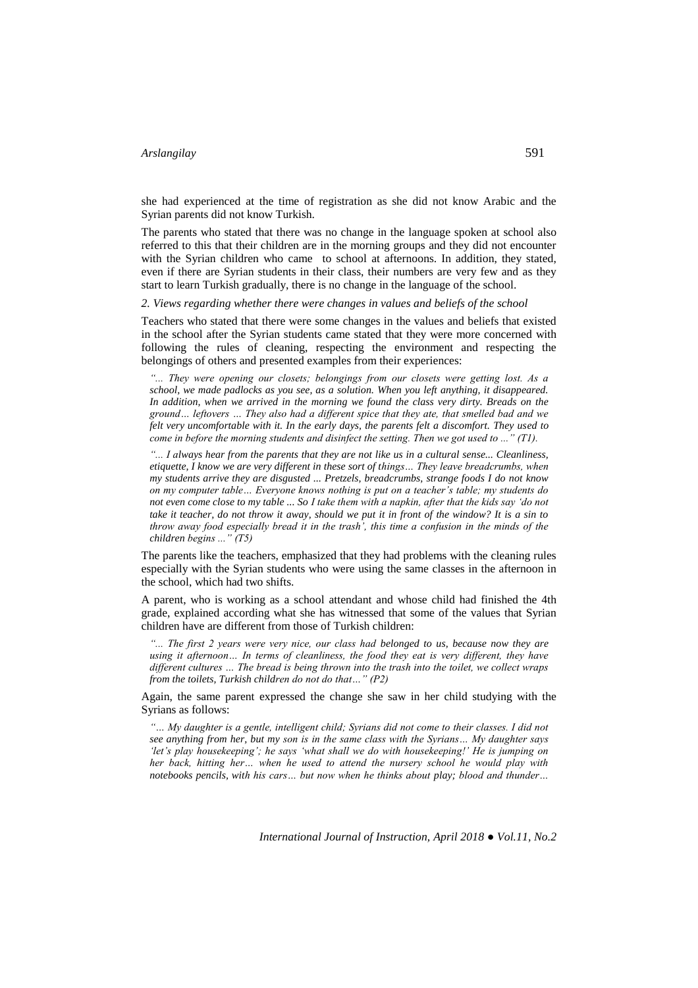she had experienced at the time of registration as she did not know Arabic and the Syrian parents did not know Turkish.

The parents who stated that there was no change in the language spoken at school also referred to this that their children are in the morning groups and they did not encounter with the Syrian children who came to school at afternoons. In addition, they stated, even if there are Syrian students in their class, their numbers are very few and as they start to learn Turkish gradually, there is no change in the language of the school.

*2. Views regarding whether there were changes in values and beliefs of the school*

Teachers who stated that there were some changes in the values and beliefs that existed in the school after the Syrian students came stated that they were more concerned with following the rules of cleaning, respecting the environment and respecting the belongings of others and presented examples from their experiences:

*"... They were opening our closets; belongings from our closets were getting lost. As a school, we made padlocks as you see, as a solution. When you left anything, it disappeared.*  In addition, when we arrived in the morning we found the class very dirty. Breads on the *ground… leftovers … They also had a different spice that they ate, that smelled bad and we felt very uncomfortable with it. In the early days, the parents felt a discomfort. They used to come in before the morning students and disinfect the setting. Then we got used to ..." (T1).*

*"... I always hear from the parents that they are not like us in a cultural sense... Cleanliness, etiquette, I know we are very different in these sort of things… They leave breadcrumbs, when my students arrive they are disgusted ... Pretzels, breadcrumbs, strange foods I do not know on my computer table… Everyone knows nothing is put on a teacher's table; my students do not even come close to my table ... So I take them with a napkin, after that the kids say 'do not take it teacher, do not throw it away, should we put it in front of the window? It is a sin to throw away food especially bread it in the trash', this time a confusion in the minds of the children begins ..." (T5)*

The parents like the teachers, emphasized that they had problems with the cleaning rules especially with the Syrian students who were using the same classes in the afternoon in the school, which had two shifts.

A parent, who is working as a school attendant and whose child had finished the 4th grade, explained according what she has witnessed that some of the values that Syrian children have are different from those of Turkish children:

*"... The first 2 years were very nice, our class had belonged to us, because now they are using it afternoon… In terms of cleanliness, the food they eat is very different, they have different cultures … The bread is being thrown into the trash into the toilet, we collect wraps from the toilets, Turkish children do not do that…" (P2)*

Again, the same parent expressed the change she saw in her child studying with the Syrians as follows:

*"… My daughter is a gentle, intelligent child; Syrians did not come to their classes. I did not see anything from her, but my son is in the same class with the Syrians… My daughter says 'let's play housekeeping'; he says 'what shall we do with housekeeping!' He is jumping on her back, hitting her… when he used to attend the nursery school he would play with notebooks pencils, with his cars… but now when he thinks about play; blood and thunder…*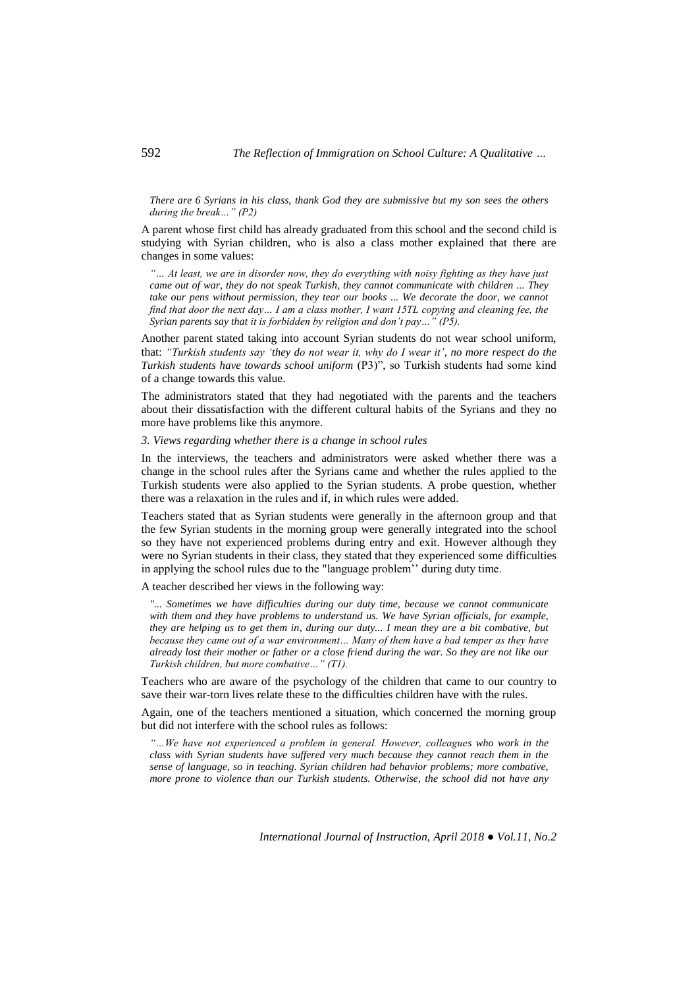*There are 6 Syrians in his class, thank God they are submissive but my son sees the others during the break…" (P2)*

A parent whose first child has already graduated from this school and the second child is studying with Syrian children, who is also a class mother explained that there are changes in some values:

*"… At least, we are in disorder now, they do everything with noisy fighting as they have just came out of war, they do not speak Turkish, they cannot communicate with children ... They take our pens without permission, they tear our books ... We decorate the door, we cannot find that door the next day… I am a class mother, I want 15TL copying and cleaning fee, the Syrian parents say that it is forbidden by religion and don't pay…" (P5).*

Another parent stated taking into account Syrian students do not wear school uniform, that: *"Turkish students say 'they do not wear it, why do I wear it', no more respect do the Turkish students have towards school uniform* (P3)", so Turkish students had some kind of a change towards this value.

The administrators stated that they had negotiated with the parents and the teachers about their dissatisfaction with the different cultural habits of the Syrians and they no more have problems like this anymore.

*3. Views regarding whether there is a change in school rules*

In the interviews, the teachers and administrators were asked whether there was a change in the school rules after the Syrians came and whether the rules applied to the Turkish students were also applied to the Syrian students. A probe question, whether there was a relaxation in the rules and if, in which rules were added.

Teachers stated that as Syrian students were generally in the afternoon group and that the few Syrian students in the morning group were generally integrated into the school so they have not experienced problems during entry and exit. However although they were no Syrian students in their class, they stated that they experienced some difficulties in applying the school rules due to the "language problem'' during duty time.

A teacher described her views in the following way:

*"... Sometimes we have difficulties during our duty time, because we cannot communicate with them and they have problems to understand us. We have Syrian officials, for example, they are helping us to get them in, during our duty... I mean they are a bit combative, but because they came out of a war environment… Many of them have a bad temper as they have already lost their mother or father or a close friend during the war. So they are not like our Turkish children, but more combative…" (T1).*

Teachers who are aware of the psychology of the children that came to our country to save their war-torn lives relate these to the difficulties children have with the rules.

Again, one of the teachers mentioned a situation, which concerned the morning group but did not interfere with the school rules as follows:

*"…We have not experienced a problem in general. However, colleagues who work in the class with Syrian students have suffered very much because they cannot reach them in the sense of language, so in teaching. Syrian children had behavior problems; more combative, more prone to violence than our Turkish students. Otherwise, the school did not have any*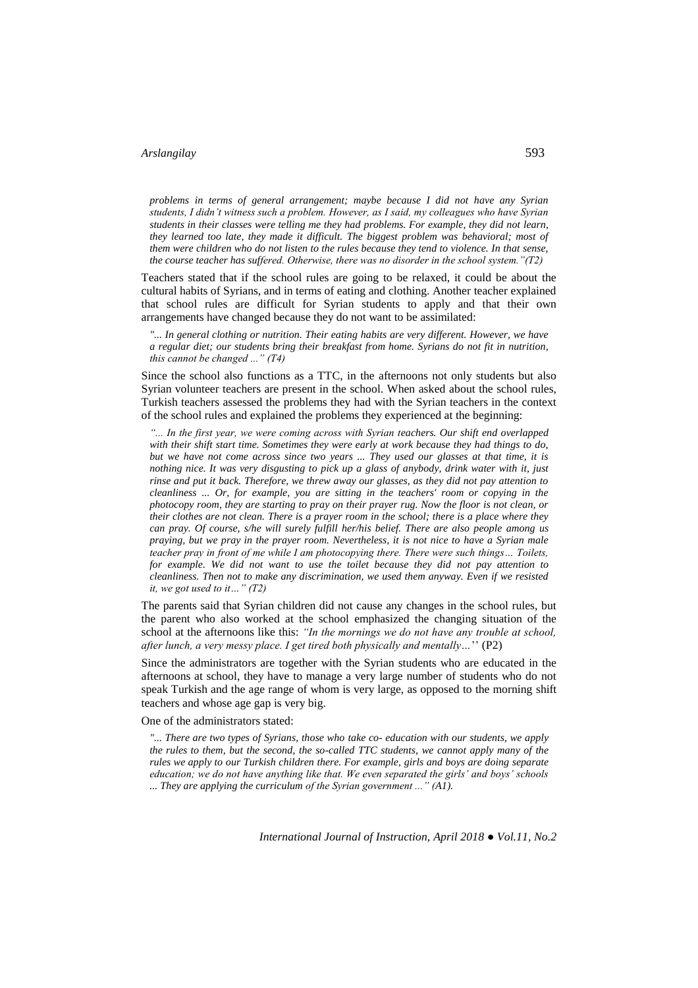*problems in terms of general arrangement; maybe because I did not have any Syrian students, I didn't witness such a problem. However, as I said, my colleagues who have Syrian students in their classes were telling me they had problems. For example, they did not learn, they learned too late, they made it difficult. The biggest problem was behavioral; most of them were children who do not listen to the rules because they tend to violence. In that sense, the course teacher has suffered. Otherwise, there was no disorder in the school system."(T2)*

Teachers stated that if the school rules are going to be relaxed, it could be about the cultural habits of Syrians, and in terms of eating and clothing. Another teacher explained that school rules are difficult for Syrian students to apply and that their own arrangements have changed because they do not want to be assimilated:

*"... In general clothing or nutrition. Their eating habits are very different. However, we have a regular diet; our students bring their breakfast from home. Syrians do not fit in nutrition, this cannot be changed ..." (T4)*

Since the school also functions as a TTC, in the afternoons not only students but also Syrian volunteer teachers are present in the school. When asked about the school rules, Turkish teachers assessed the problems they had with the Syrian teachers in the context of the school rules and explained the problems they experienced at the beginning:

*"... In the first year, we were coming across with Syrian teachers. Our shift end overlapped with their shift start time. Sometimes they were early at work because they had things to do, but we have not come across since two years ... They used our glasses at that time, it is nothing nice. It was very disgusting to pick up a glass of anybody, drink water with it, just rinse and put it back. Therefore, we threw away our glasses, as they did not pay attention to cleanliness ... Or, for example, you are sitting in the teachers' room or copying in the photocopy room, they are starting to pray on their prayer rug. Now the floor is not clean, or their clothes are not clean. There is a prayer room in the school; there is a place where they can pray. Of course, s/he will surely fulfill her/his belief. There are also people among us praying, but we pray in the prayer room. Nevertheless, it is not nice to have a Syrian male teacher pray in front of me while I am photocopying there. There were such things… Toilets, for example. We did not want to use the toilet because they did not pay attention to cleanliness. Then not to make any discrimination, we used them anyway. Even if we resisted it, we got used to it…" (T2)*

The parents said that Syrian children did not cause any changes in the school rules, but the parent who also worked at the school emphasized the changing situation of the school at the afternoons like this: *"In the mornings we do not have any trouble at school, after lunch, a very messy place. I get tired both physically and mentally…*'' (P2)

Since the administrators are together with the Syrian students who are educated in the afternoons at school, they have to manage a very large number of students who do not speak Turkish and the age range of whom is very large, as opposed to the morning shift teachers and whose age gap is very big.

One of the administrators stated:

*"... There are two types of Syrians, those who take co- education with our students, we apply the rules to them, but the second, the so-called TTC students, we cannot apply many of the rules we apply to our Turkish children there. For example, girls and boys are doing separate education; we do not have anything like that. We even separated the girls' and boys' schools ... They are applying the curriculum of the Syrian government ..." (A1).*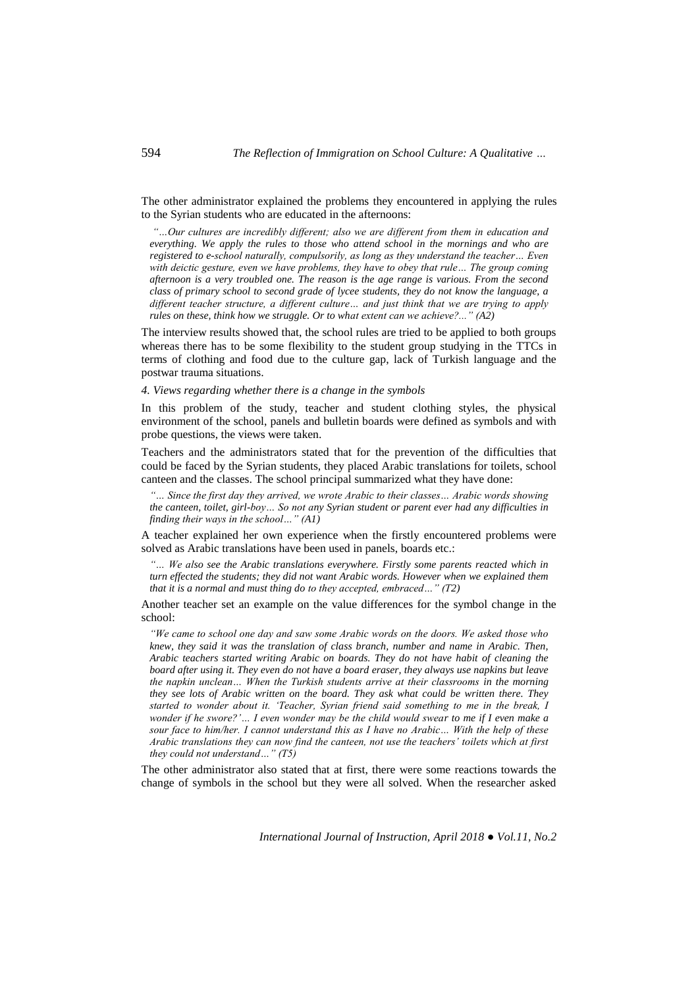The other administrator explained the problems they encountered in applying the rules to the Syrian students who are educated in the afternoons:

*"…Our cultures are incredibly different; also we are different from them in education and everything. We apply the rules to those who attend school in the mornings and who are registered to e-school naturally, compulsorily, as long as they understand the teacher… Even with deictic gesture, even we have problems, they have to obey that rule… The group coming afternoon is a very troubled one. The reason is the age range is various. From the second class of primary school to second grade of lycee students, they do not know the language, a different teacher structure, a different culture… and just think that we are trying to apply rules on these, think how we struggle. Or to what extent can we achieve?..." (A2)*

The interview results showed that, the school rules are tried to be applied to both groups whereas there has to be some flexibility to the student group studying in the TTCs in terms of clothing and food due to the culture gap, lack of Turkish language and the postwar trauma situations.

#### *4. Views regarding whether there is a change in the symbols*

In this problem of the study, teacher and student clothing styles, the physical environment of the school, panels and bulletin boards were defined as symbols and with probe questions, the views were taken.

Teachers and the administrators stated that for the prevention of the difficulties that could be faced by the Syrian students, they placed Arabic translations for toilets, school canteen and the classes. The school principal summarized what they have done:

*"… Since the first day they arrived, we wrote Arabic to their classes… Arabic words showing the canteen, toilet, girl-boy… So not any Syrian student or parent ever had any difficulties in finding their ways in the school…" (A1)*

A teacher explained her own experience when the firstly encountered problems were solved as Arabic translations have been used in panels, boards etc.:

*"… We also see the Arabic translations everywhere. Firstly some parents reacted which in turn effected the students; they did not want Arabic words. However when we explained them that it is a normal and must thing do to they accepted, embraced…" (T2)*

Another teacher set an example on the value differences for the symbol change in the school:

*"We came to school one day and saw some Arabic words on the doors. We asked those who knew, they said it was the translation of class branch, number and name in Arabic. Then, Arabic teachers started writing Arabic on boards. They do not have habit of cleaning the board after using it. They even do not have a board eraser, they always use napkins but leave the napkin unclean… When the Turkish students arrive at their classrooms in the morning they see lots of Arabic written on the board. They ask what could be written there. They started to wonder about it. 'Teacher, Syrian friend said something to me in the break, I wonder if he swore?'… I even wonder may be the child would swear to me if I even make a sour face to him/her. I cannot understand this as I have no Arabic… With the help of these Arabic translations they can now find the canteen, not use the teachers' toilets which at first they could not understand…" (T5)*

The other administrator also stated that at first, there were some reactions towards the change of symbols in the school but they were all solved. When the researcher asked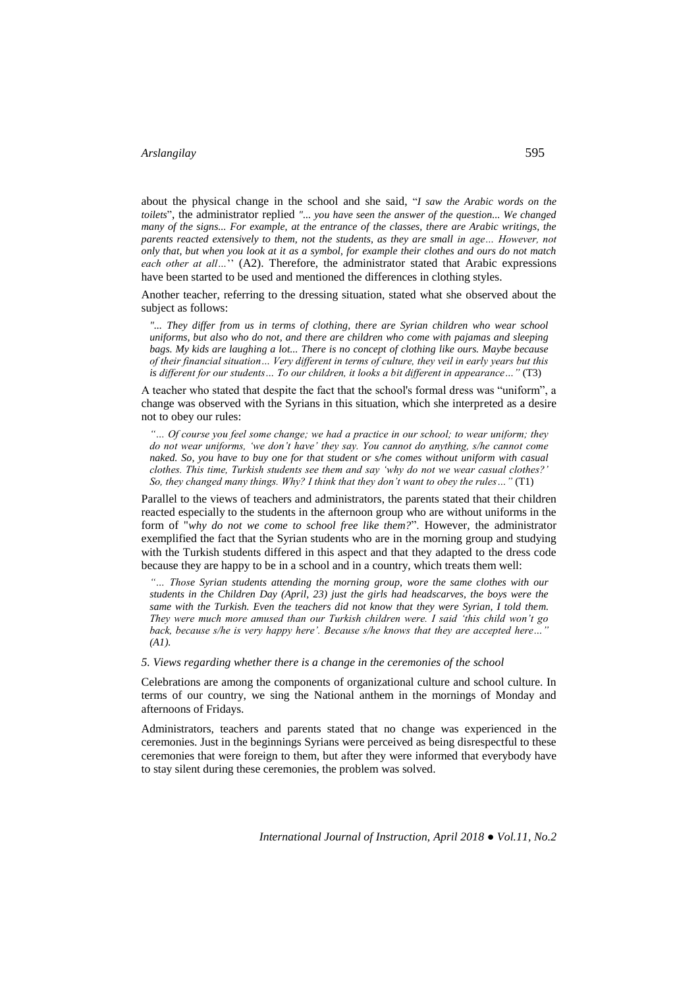about the physical change in the school and she said, "*I saw the Arabic words on the toilets*", the administrator replied *"... you have seen the answer of the question... We changed many of the signs... For example, at the entrance of the classes, there are Arabic writings, the parents reacted extensively to them, not the students, as they are small in age… However, not only that, but when you look at it as a symbol, for example their clothes and ours do not match each other at all…*'' (A2). Therefore, the administrator stated that Arabic expressions have been started to be used and mentioned the differences in clothing styles.

Another teacher, referring to the dressing situation, stated what she observed about the subject as follows:

*"... They differ from us in terms of clothing, there are Syrian children who wear school uniforms, but also who do not, and there are children who come with pajamas and sleeping bags. My kids are laughing a lot... There is no concept of clothing like ours. Maybe because of their financial situation… Very different in terms of culture, they veil in early years but this is different for our students… To our children, it looks a bit different in appearance…"* (T3)

A teacher who stated that despite the fact that the school's formal dress was "uniform", a change was observed with the Syrians in this situation, which she interpreted as a desire not to obey our rules:

*"… Of course you feel some change; we had a practice in our school; to wear uniform; they do not wear uniforms, 'we don't have' they say. You cannot do anything, s/he cannot come naked. So, you have to buy one for that student or s/he comes without uniform with casual clothes. This time, Turkish students see them and say 'why do not we wear casual clothes?' So, they changed many things. Why? I think that they don't want to obey the rules…"* (T1)

Parallel to the views of teachers and administrators, the parents stated that their children reacted especially to the students in the afternoon group who are without uniforms in the form of "*why do not we come to school free like them?*". However, the administrator exemplified the fact that the Syrian students who are in the morning group and studying with the Turkish students differed in this aspect and that they adapted to the dress code because they are happy to be in a school and in a country, which treats them well:

*"… Those Syrian students attending the morning group, wore the same clothes with our students in the Children Day (April, 23) just the girls had headscarves, the boys were the same with the Turkish. Even the teachers did not know that they were Syrian, I told them. They were much more amused than our Turkish children were. I said 'this child won't go back, because s/he is very happy here'. Because s/he knows that they are accepted here... (A1).* 

*5. Views regarding whether there is a change in the ceremonies of the school* 

Celebrations are among the components of organizational culture and school culture. In terms of our country, we sing the National anthem in the mornings of Monday and afternoons of Fridays.

Administrators, teachers and parents stated that no change was experienced in the ceremonies. Just in the beginnings Syrians were perceived as being disrespectful to these ceremonies that were foreign to them, but after they were informed that everybody have to stay silent during these ceremonies, the problem was solved.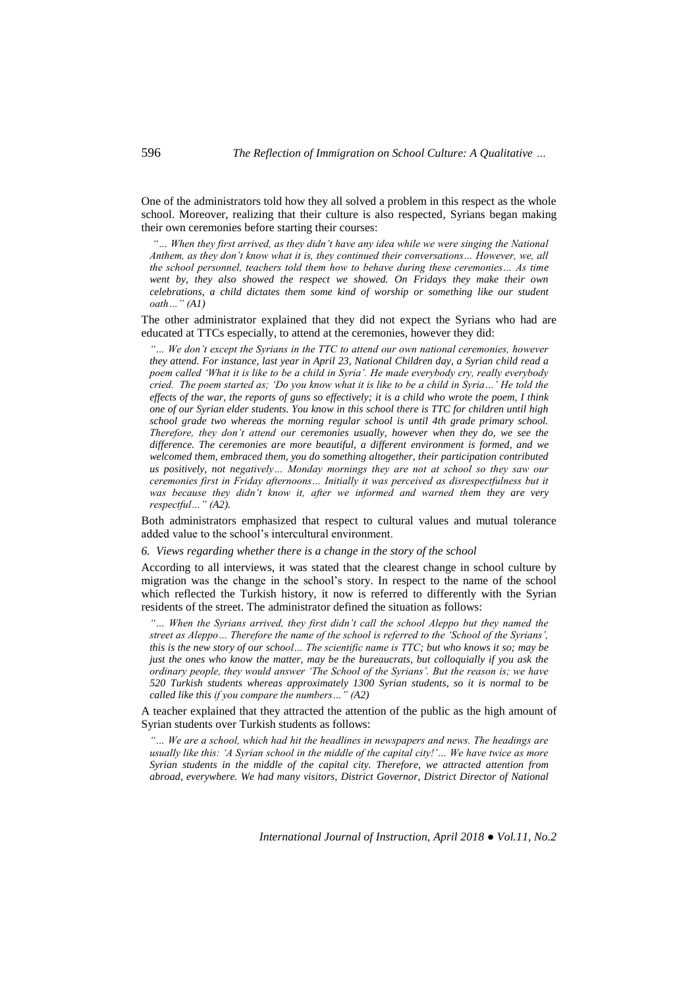One of the administrators told how they all solved a problem in this respect as the whole school. Moreover, realizing that their culture is also respected, Syrians began making their own ceremonies before starting their courses:

*"… When they first arrived, as they didn't have any idea while we were singing the National Anthem, as they don't know what it is, they continued their conversations… However, we, all the school personnel, teachers told them how to behave during these ceremonies… As time went by, they also showed the respect we showed. On Fridays they make their own celebrations, a child dictates them some kind of worship or something like our student oath…" (A1)*

The other administrator explained that they did not expect the Syrians who had are educated at TTCs especially, to attend at the ceremonies, however they did:

*"… We don't except the Syrians in the TTC to attend our own national ceremonies, however they attend. For instance, last year in April 23, National Children day, a Syrian child read a poem called 'What it is like to be a child in Syria'. He made everybody cry, really everybody cried. The poem started as; 'Do you know what it is like to be a child in Syria…' He told the effects of the war, the reports of guns so effectively; it is a child who wrote the poem, I think one of our Syrian elder students. You know in this school there is TTC for children until high school grade two whereas the morning regular school is until 4th grade primary school. Therefore, they don't attend our ceremonies usually, however when they do, we see the difference. The ceremonies are more beautiful, a different environment is formed, and we welcomed them, embraced them, you do something altogether, their participation contributed us positively, not negatively… Monday mornings they are not at school so they saw our ceremonies first in Friday afternoons… Initially it was perceived as disrespectfulness but it was because they didn't know it, after we informed and warned them they are very respectful…" (A2).* 

Both administrators emphasized that respect to cultural values and mutual tolerance added value to the school's intercultural environment.

*6. Views regarding whether there is a change in the story of the school* 

According to all interviews, it was stated that the clearest change in school culture by migration was the change in the school's story. In respect to the name of the school which reflected the Turkish history, it now is referred to differently with the Syrian residents of the street. The administrator defined the situation as follows:

*"… When the Syrians arrived, they first didn't call the school Aleppo but they named the street as Aleppo… Therefore the name of the school is referred to the 'School of the Syrians', this is the new story of our school… The scientific name is TTC; but who knows it so; may be just the ones who know the matter, may be the bureaucrats, but colloquially if you ask the ordinary people, they would answer 'The School of the Syrians'. But the reason is; we have 520 Turkish students whereas approximately 1300 Syrian students, so it is normal to be called like this if you compare the numbers…" (A2)*

A teacher explained that they attracted the attention of the public as the high amount of Syrian students over Turkish students as follows:

*"… We are a school, which had hit the headlines in newspapers and news. The headings are usually like this: 'A Syrian school in the middle of the capital city!'… We have twice as more Syrian students in the middle of the capital city. Therefore, we attracted attention from abroad, everywhere. We had many visitors, District Governor, District Director of National*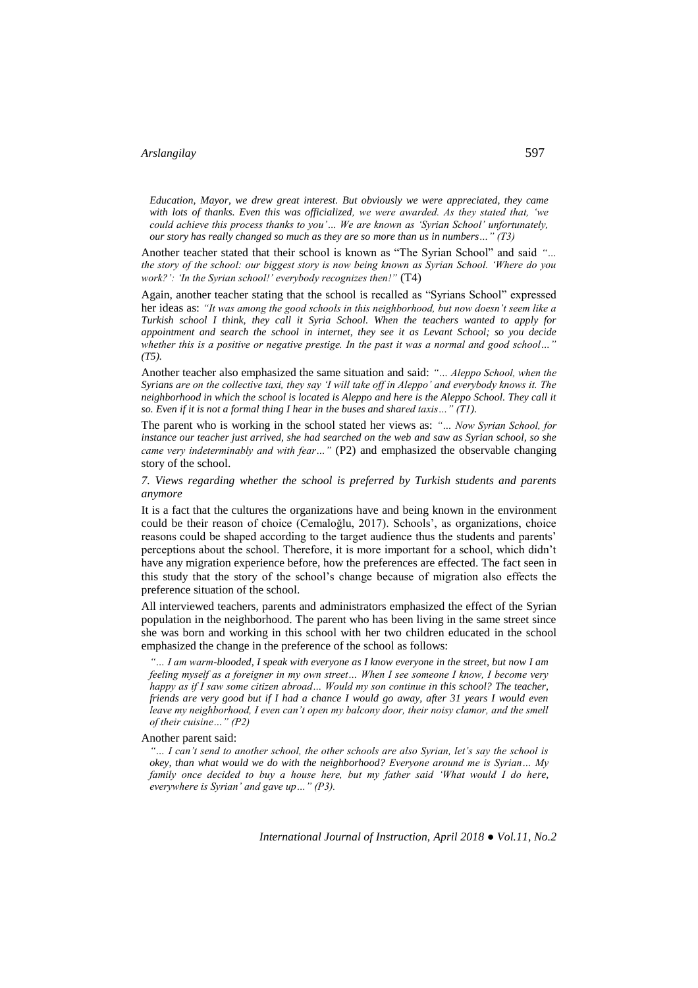*Education, Mayor, we drew great interest. But obviously we were appreciated, they came with lots of thanks. Even this was officialized, we were awarded. As they stated that, 'we could achieve this process thanks to you'… We are known as 'Syrian School' unfortunately, our story has really changed so much as they are so more than us in numbers…" (T3)* 

Another teacher stated that their school is known as "The Syrian School" and said *"… the story of the school: our biggest story is now being known as Syrian School. 'Where do you work?': 'In the Syrian school!' everybody recognizes then!"* (T4)

Again, another teacher stating that the school is recalled as "Syrians School" expressed her ideas as: *"It was among the good schools in this neighborhood, but now doesn't seem like a Turkish school I think, they call it Syria School. When the teachers wanted to apply for appointment and search the school in internet, they see it as Levant School; so you decide whether this is a positive or negative prestige. In the past it was a normal and good school…" (T5).* 

Another teacher also emphasized the same situation and said: *"… Aleppo School, when the Syrians are on the collective taxi, they say 'I will take off in Aleppo' and everybody knows it. The neighborhood in which the school is located is Aleppo and here is the Aleppo School. They call it so. Even if it is not a formal thing I hear in the buses and shared taxis…" (T1).* 

The parent who is working in the school stated her views as: *"… Now Syrian School, for instance our teacher just arrived, she had searched on the web and saw as Syrian school, so she came very indeterminably and with fear…"* (P2) and emphasized the observable changing story of the school.

*7. Views regarding whether the school is preferred by Turkish students and parents anymore* 

It is a fact that the cultures the organizations have and being known in the environment could be their reason of choice (Cemaloğlu, 2017). Schools', as organizations, choice reasons could be shaped according to the target audience thus the students and parents' perceptions about the school. Therefore, it is more important for a school, which didn't have any migration experience before, how the preferences are effected. The fact seen in this study that the story of the school's change because of migration also effects the preference situation of the school.

All interviewed teachers, parents and administrators emphasized the effect of the Syrian population in the neighborhood. The parent who has been living in the same street since she was born and working in this school with her two children educated in the school emphasized the change in the preference of the school as follows:

*"… I am warm-blooded, I speak with everyone as I know everyone in the street, but now I am feeling myself as a foreigner in my own street… When I see someone I know, I become very*  happy as if I saw some citizen abroad... Would my son continue in this school? The teacher, *friends are very good but if I had a chance I would go away, after 31 years I would even leave my neighborhood, I even can't open my balcony door, their noisy clamor, and the smell of their cuisine…" (P2)* 

#### Another parent said:

*"… I can't send to another school, the other schools are also Syrian, let's say the school is okey, than what would we do with the neighborhood? Everyone around me is Syrian… My family once decided to buy a house here, but my father said 'What would I do here, everywhere is Syrian' and gave up…" (P3).*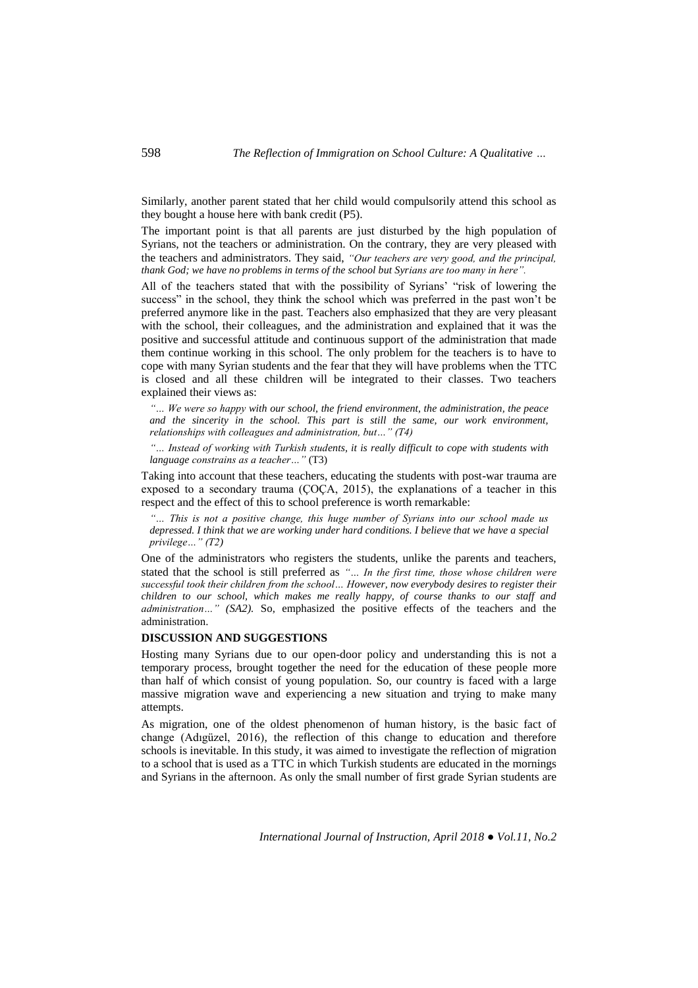Similarly, another parent stated that her child would compulsorily attend this school as they bought a house here with bank credit (P5).

The important point is that all parents are just disturbed by the high population of Syrians, not the teachers or administration. On the contrary, they are very pleased with the teachers and administrators. They said, *"Our teachers are very good, and the principal, thank God; we have no problems in terms of the school but Syrians are too many in here".* 

All of the teachers stated that with the possibility of Syrians' "risk of lowering the success" in the school, they think the school which was preferred in the past won't be preferred anymore like in the past. Teachers also emphasized that they are very pleasant with the school, their colleagues, and the administration and explained that it was the positive and successful attitude and continuous support of the administration that made them continue working in this school. The only problem for the teachers is to have to cope with many Syrian students and the fear that they will have problems when the TTC is closed and all these children will be integrated to their classes. Two teachers explained their views as:

*"… We were so happy with our school, the friend environment, the administration, the peace and the sincerity in the school. This part is still the same, our work environment, relationships with colleagues and administration, but…" (T4)*

*"… Instead of working with Turkish students, it is really difficult to cope with students with language constrains as a teacher…"* (T3)

Taking into account that these teachers, educating the students with post-war trauma are exposed to a secondary trauma (ÇOÇA, 2015), the explanations of a teacher in this respect and the effect of this to school preference is worth remarkable:

*"… This is not a positive change, this huge number of Syrians into our school made us depressed. I think that we are working under hard conditions. I believe that we have a special privilege…" (T2)*

One of the administrators who registers the students, unlike the parents and teachers, stated that the school is still preferred as *"… In the first time, those whose children were successful took their children from the school… However, now everybody desires to register their children to our school, which makes me really happy, of course thanks to our staff and administration…" (SA2).* So, emphasized the positive effects of the teachers and the administration.

#### **DISCUSSION AND SUGGESTIONS**

Hosting many Syrians due to our open-door policy and understanding this is not a temporary process, brought together the need for the education of these people more than half of which consist of young population. So, our country is faced with a large massive migration wave and experiencing a new situation and trying to make many attempts.

As migration, one of the oldest phenomenon of human history, is the basic fact of change (Adıgüzel, 2016), the reflection of this change to education and therefore schools is inevitable. In this study, it was aimed to investigate the reflection of migration to a school that is used as a TTC in which Turkish students are educated in the mornings and Syrians in the afternoon. As only the small number of first grade Syrian students are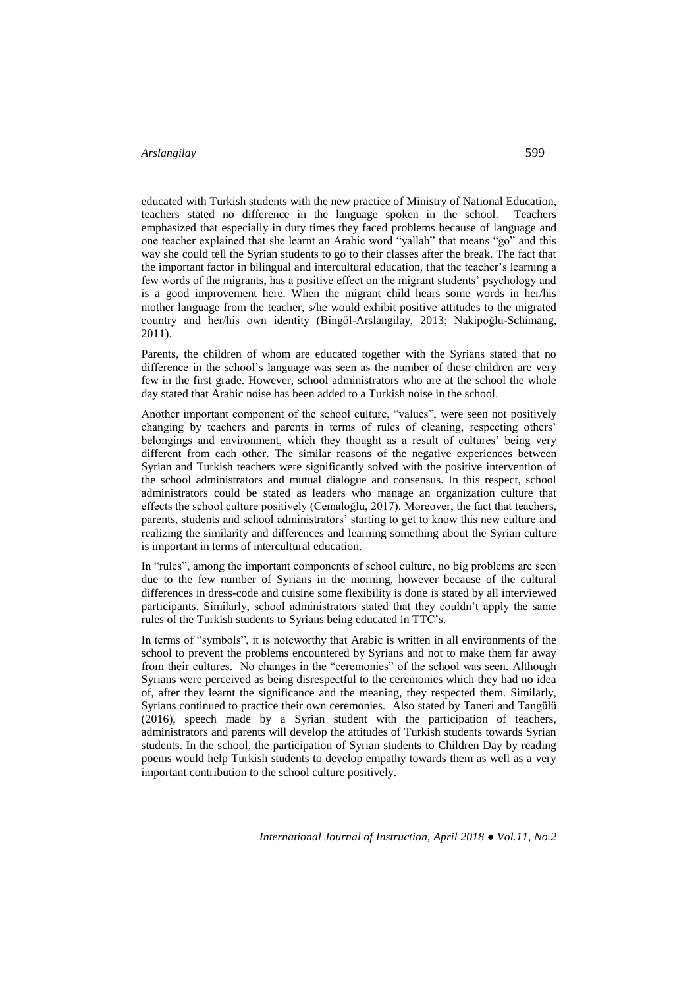educated with Turkish students with the new practice of Ministry of National Education, teachers stated no difference in the language spoken in the school. Teachers emphasized that especially in duty times they faced problems because of language and one teacher explained that she learnt an Arabic word "yallah" that means "go" and this way she could tell the Syrian students to go to their classes after the break. The fact that the important factor in bilingual and intercultural education, that the teacher's learning a few words of the migrants, has a positive effect on the migrant students' psychology and is a good improvement here. When the migrant child hears some words in her/his mother language from the teacher, s/he would exhibit positive attitudes to the migrated country and her/his own identity (Bingöl-Arslangilay, 2013; Nakipoğlu-Schimang, 2011).

Parents, the children of whom are educated together with the Syrians stated that no difference in the school's language was seen as the number of these children are very few in the first grade. However, school administrators who are at the school the whole day stated that Arabic noise has been added to a Turkish noise in the school.

Another important component of the school culture, "values", were seen not positively changing by teachers and parents in terms of rules of cleaning, respecting others' belongings and environment, which they thought as a result of cultures' being very different from each other. The similar reasons of the negative experiences between Syrian and Turkish teachers were significantly solved with the positive intervention of the school administrators and mutual dialogue and consensus. In this respect, school administrators could be stated as leaders who manage an organization culture that effects the school culture positively (Cemaloğlu, 2017). Moreover, the fact that teachers, parents, students and school administrators' starting to get to know this new culture and realizing the similarity and differences and learning something about the Syrian culture is important in terms of intercultural education.

In "rules", among the important components of school culture, no big problems are seen due to the few number of Syrians in the morning, however because of the cultural differences in dress-code and cuisine some flexibility is done is stated by all interviewed participants. Similarly, school administrators stated that they couldn't apply the same rules of the Turkish students to Syrians being educated in TTC's.

In terms of "symbols", it is noteworthy that Arabic is written in all environments of the school to prevent the problems encountered by Syrians and not to make them far away from their cultures. No changes in the "ceremonies" of the school was seen. Although Syrians were perceived as being disrespectful to the ceremonies which they had no idea of, after they learnt the significance and the meaning, they respected them. Similarly, Syrians continued to practice their own ceremonies. Also stated by Taneri and Tangülü (2016), speech made by a Syrian student with the participation of teachers, administrators and parents will develop the attitudes of Turkish students towards Syrian students. In the school, the participation of Syrian students to Children Day by reading poems would help Turkish students to develop empathy towards them as well as a very important contribution to the school culture positively.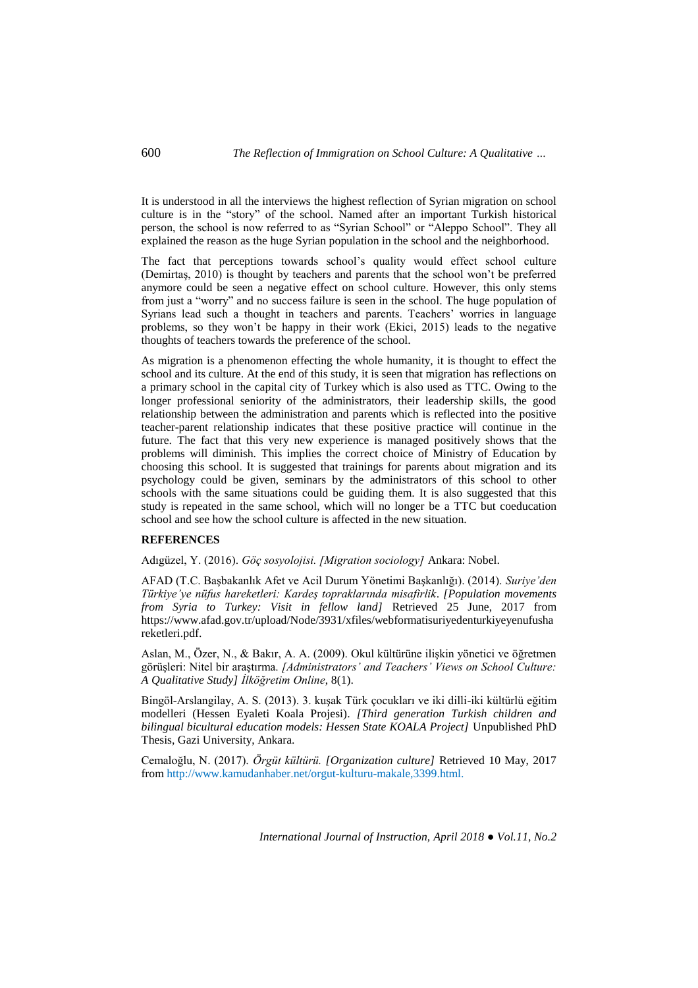It is understood in all the interviews the highest reflection of Syrian migration on school culture is in the "story" of the school. Named after an important Turkish historical person, the school is now referred to as "Syrian School" or "Aleppo School". They all explained the reason as the huge Syrian population in the school and the neighborhood.

The fact that perceptions towards school's quality would effect school culture (Demirtaş, 2010) is thought by teachers and parents that the school won't be preferred anymore could be seen a negative effect on school culture. However, this only stems from just a "worry" and no success failure is seen in the school. The huge population of Syrians lead such a thought in teachers and parents. Teachers' worries in language problems, so they won't be happy in their work (Ekici, 2015) leads to the negative thoughts of teachers towards the preference of the school.

As migration is a phenomenon effecting the whole humanity, it is thought to effect the school and its culture. At the end of this study, it is seen that migration has reflections on a primary school in the capital city of Turkey which is also used as TTC. Owing to the longer professional seniority of the administrators, their leadership skills, the good relationship between the administration and parents which is reflected into the positive teacher-parent relationship indicates that these positive practice will continue in the future. The fact that this very new experience is managed positively shows that the problems will diminish. This implies the correct choice of Ministry of Education by choosing this school. It is suggested that trainings for parents about migration and its psychology could be given, seminars by the administrators of this school to other schools with the same situations could be guiding them. It is also suggested that this study is repeated in the same school, which will no longer be a TTC but coeducation school and see how the school culture is affected in the new situation.

### **REFERENCES**

Adıgüzel, Y. (2016). *Göç sosyolojisi. [Migration sociology]* Ankara: Nobel.

AFAD (T.C. Başbakanlık Afet ve Acil Durum Yönetimi Başkanlığı). (2014). *Suriye'den Türkiye'ye nüfus hareketleri: Kardeş topraklarında misafirlik*. *[Population movements from Syria to Turkey: Visit in fellow land]* Retrieved 25 June, 2017 from https://www.afad.gov.tr/upload/Node/3931/xfiles/webformatisuriyedenturkiyeyenufusha reketleri.pdf.

Aslan, M., Özer, N., & Bakır, A. A. (2009). Okul kültürüne ilişkin yönetici ve öğretmen görüşleri: Nitel bir araştırma. *[Administrators' and Teachers' Views on School Culture: A Qualitative Study] İlköğretim Online*, 8(1).

Bingöl-Arslangilay, A. S. (2013). 3. kuşak Türk çocukları ve iki dilli-iki kültürlü eğitim modelleri (Hessen Eyaleti Koala Projesi). *[Third generation Turkish children and bilingual bicultural education models: Hessen State KOALA Project]* Unpublished PhD Thesis, Gazi University, Ankara.

Cemaloğlu, N. (2017). *Örgüt kültürü. [Organization culture]* Retrieved 10 May, 2017 from http://www.kamudanhaber.net/orgut-kulturu-makale,3399.html.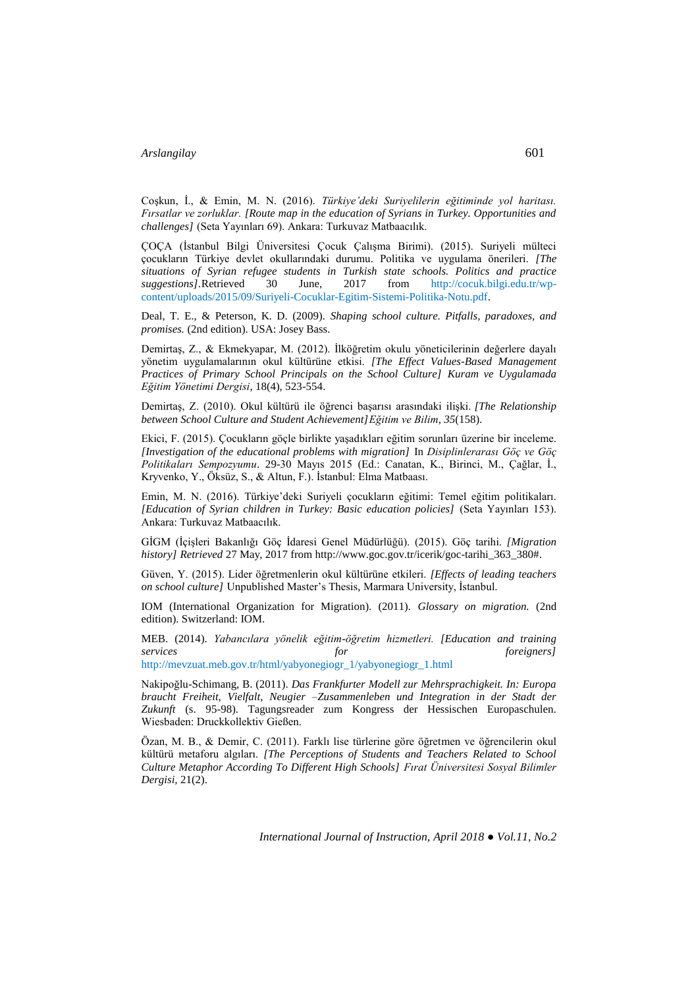Coşkun, İ., & Emin, M. N. (2016). *Türkiye'deki Suriyelilerin eğitiminde yol haritası. Fırsatlar ve zorluklar. [Route map in the education of Syrians in Turkey. Opportunities and challenges]* (Seta Yayınları 69). Ankara: Turkuvaz Matbaacılık.

ÇOÇA (İstanbul Bilgi Üniversitesi Çocuk Çalışma Birimi). (2015). Suriyeli mülteci çocukların Türkiye devlet okullarındaki durumu. Politika ve uygulama önerileri. *[The situations of Syrian refugee students in Turkish state schools. Politics and practice suggestions].*Retrieved 30 June, 2017 from http://cocuk.bilgi.edu.tr/wpcontent/uploads/2015/09/Suriyeli-Cocuklar-Egitim-Sistemi-Politika-Notu.pdf.

Deal, T. E., & Peterson, K. D. (2009). *Shaping school culture. Pitfalls, paradoxes, and promises.* (2nd edition). USA: Josey Bass.

Demirtaş, Z., & Ekmekyapar, M. (2012). İlköğretim okulu yöneticilerinin değerlere dayalı yönetim uygulamalarının okul kültürüne etkisi. *[The Effect Values-Based Management Practices of Primary School Principals on the School Culture] Kuram ve Uygulamada Eğitim Yönetimi Dergisi*, 18(4), 523-554.

Demirtaş, Z. (2010). Okul kültürü ile öğrenci başarısı arasındaki ilişki. *[The Relationship between School Culture and Student Achievement]Eğitim ve Bilim*, *35*(158).

Ekici, F. (2015). Çocukların göçle birlikte yaşadıkları eğitim sorunları üzerine bir inceleme. *[Investigation of the educational problems with migration]* In *Disiplinlerarası Göç ve Göç Politikaları Sempozyumu*. 29-30 Mayıs 2015 (Ed.: Canatan, K., Birinci, M., Çağlar, İ., Kryvenko, Y., Öksüz, S., & Altun, F.). İstanbul: Elma Matbaası.

Emin, M. N. (2016). Türkiye'deki Suriyeli çocukların eğitimi: Temel eğitim politikaları. *[Education of Syrian children in Turkey: Basic education policies]* (Seta Yayınları 153). Ankara: Turkuvaz Matbaacılık.

GİGM (İçişleri Bakanlığı Göç İdaresi Genel Müdürlüğü). (2015). Göç tarihi. *[Migration history] Retrieved* 27 May, 2017 fro[m http://www.goc.gov.tr/icerik/goc-tarihi\\_363\\_380#.](http://www.goc.gov.tr/icerik/goc-tarihi_363_380)

Güven, Y. (2015). Lider öğretmenlerin okul kültürüne etkileri. *[Effects of leading teachers on school culture]* Unpublished Master's Thesis, Marmara University, İstanbul.

IOM (International Organization for Migration). (2011). *Glossary on migration.* (2nd edition). Switzerland: IOM.

MEB. (2014). *Yabancılara yönelik eğitim-öğretim hizmetleri. [Education and training services for foreigners]*  http://mevzuat.meb.gov.tr/html/yabyonegiogr\_1/yabyonegiogr\_1.html

Nakipoğlu-Schimang, B. (2011). *Das Frankfurter Modell zur Mehrsprachigkeit. In: Europa braucht Freiheit, Vielfalt, Neugier –Zusammenleben und Integration in der Stadt der Zukunft* (s. 95-98). Tagungsreader zum Kongress der Hessischen Europaschulen. Wiesbaden: Druckkollektiv Gießen.

Özan, M. B., & Demir, C. (2011). Farklı lise türlerine göre öğretmen ve öğrencilerin okul kültürü metaforu algıları. *[The Perceptions of Students and Teachers Related to School Culture Metaphor According To Different High Schools] Fırat Üniversitesi Sosyal Bilimler Dergisi,* 21(2).